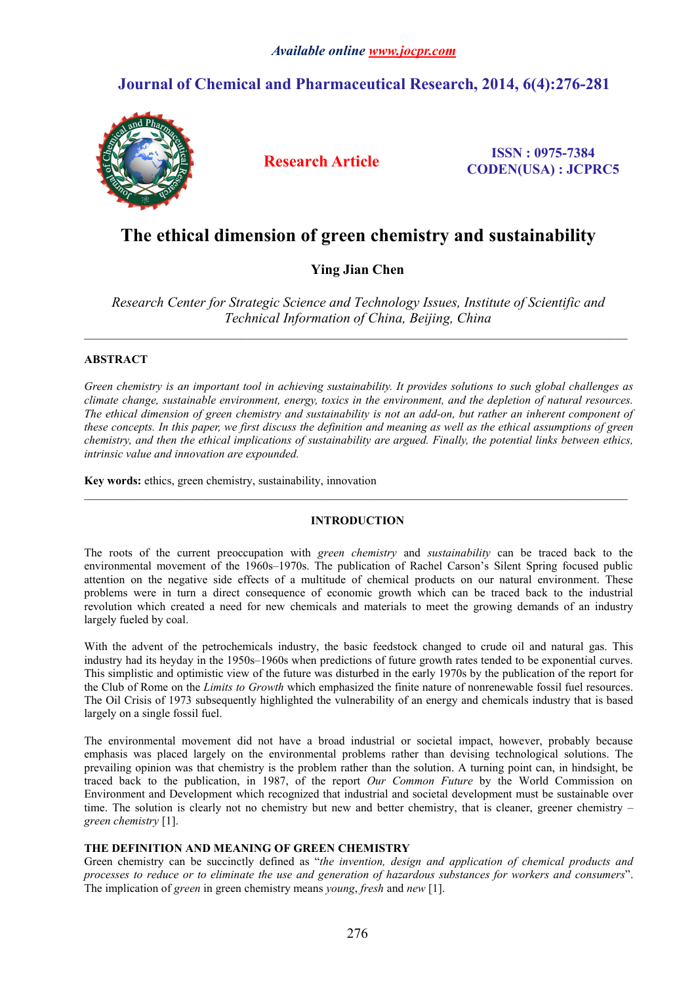### *Available online [www.jocpr.com](http://www.jocpr.com)*

## **Journal of Chemical and Pharmaceutical Research, 2014, 6(4):276-281**



**Research Article ISSN : 0975-7384 CODEN(USA) : JCPRC5**

# **The ethical dimension of green chemistry and sustainability**

## **Ying Jian Chen**

*Research Center for Strategic Science and Technology Issues, Institute of Scientific and Technical Information of China, Beijing, China*

 $\_$  , and the state of the state of the state of the state of the state of the state of the state of the state of the state of the state of the state of the state of the state of the state of the state of the state of the

 $\_$  , and the state of the state of the state of the state of the state of the state of the state of the state of the state of the state of the state of the state of the state of the state of the state of the state of the

#### **ABSTRACT**

*Green chemistry isan importanttool in achieving sustainability. It provides solutions to such global challenges as climate change, sustainable environment, energy, toxics in the environment, and the depletion of natural resources.* The ethical dimension of green chemistry and sustainability is not an add-on, but rather an inherent component of these concepts. In this paper, we first discuss the definition and meaning as well as the ethical assumptions of green chemistry, and then the ethical implications of sustainability are argued. Finally, the potential links between ethics, *intrinsic value and innovation are expounded.*

**Key words:**ethics, green chemistry, sustainability, innovation

#### **INTRODUCTION**

The roots of the current preoccupation with *green chemistry* and *sustainability* can be traced back to the environmental movement of the 1960s–1970s. The publication of Rachel Carson's Silent Spring focused public attention on the negative side effects of a multitude of chemical products on our natural environment. These problems were in turn a direct consequence of economic growth which can be traced back to the industrial revolution which created a need for new chemicals and materials to meet the growing demands of an industry largely fueled by coal.

With the advent of the petrochemicals industry, the basic feedstock changed to crude oil and natural gas. This industry had its heyday in the 1950s–1960s when predictions of future growth rates tended to be exponential curves. This simplistic and optimistic view of the futurewas disturbed in the early 1970s by the publication of the report for the Club of Rome on the *Limits to Growth* which emphasized the finite nature of nonrenewable fossil fuel resources. The Oil Crisis of 1973 subsequently highlighted the vulnerability of an energy and chemicals industry that is based largely on a single fossil fuel.

The environmental movement did not have a broad industrialor societal impact, however, probably because emphasis was placed largely on the environmental problems rather than devising technological solutions. The prevailing opinion was that chemistry is the problem rather than the solution. A turning point can, in hindsight, be traced back to the publication, in 1987, of the report *Our Common Future* by the World Commission on Environment and Development which recognized that industrial and societal development must be sustainable over time. The solution is clearly not no chemistry but new and better chemistry, that is cleaner, greener chemistry – *green chemistry* [1].

#### **THE DEFINITION AND MEANING OF GREEN CHEMISTRY**

Green chemistry can be succinctly defined as "*the invention, design and application of chemical products and* processes to reduce or to eliminate the use and generation of hazardous substances for workers and consumers". The implication of *green* in green chemistry means *young*, *fresh* and *new* [1].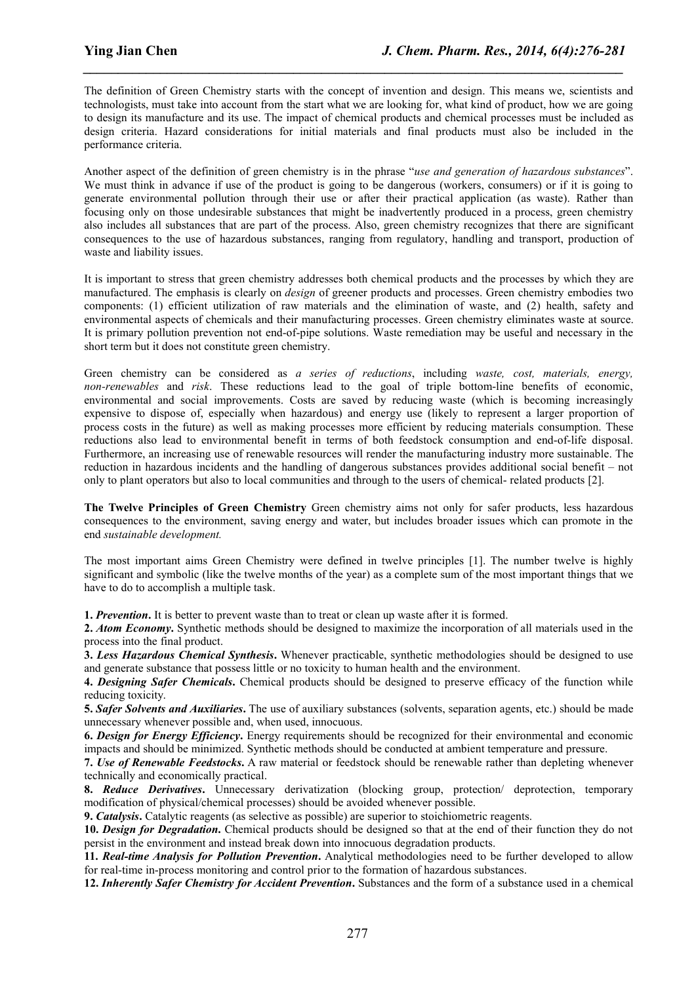The definition of Green Chemistry starts with the concept of invention and design. This means we, scientists and technologists, must take into account from the start what we are looking for, what kind of product, how we are going to design its manufacture and its use. The impact of chemical products and chemical processes must be included as design criteria. Hazard considerations for initial materials and final products must also be included in the performance criteria.

*\_\_\_\_\_\_\_\_\_\_\_\_\_\_\_\_\_\_\_\_\_\_\_\_\_\_\_\_\_\_\_\_\_\_\_\_\_\_\_\_\_\_\_\_\_\_\_\_\_\_\_\_\_\_\_\_\_\_\_\_\_\_\_\_\_\_\_\_\_\_\_\_\_\_\_\_\_*

Another aspect of the definition of green chemistry is in the phrase "*use and generation of hazardous substances*". We must think in advance if use of the product is going to be dangerous (workers, consumers) or if it is going to generate environmental pollution through their use or after their practical application (as waste). Rather than focusing only on those undesirable substances that might be inadvertently produced in a process, green chemistry also includes all substances that are part of the process. Also, green chemistry recognizes that there are significant consequences to the use of hazardous substances, ranging from regulatory, handling and transport, production of waste and liability issues.

It is important to stress that green chemistry addresses both chemical products and the processes by which they are manufactured. The emphasis is clearly on *design* of greener products and processes. Green chemistry embodies two components: (1) efficient utilization of raw materials and the elimination of waste, and (2) health, safety and environmental aspects of chemicals and their manufacturing processes. Green chemistry eliminates waste at source. It is primary pollution prevention not end-of-pipe solutions. Waste remediation may be useful and necessary in the short term but it does not constitute green chemistry.

Green chemistry can be considered as *a series of reductions*, including *waste, cost, materials, energy, non-renewables* and *risk*. These reductions lead to the goal of triple bottom-line benefits of economic, environmental and social improvements. Costs are saved by reducing waste (which is becoming increasingly expensive to dispose of, especially when hazardous) and energy use (likely to represent a larger proportion of process costs in the future) as well as making processes more efficient by reducing materials consumption. These reductions also lead to environmental benefit in terms of both feedstock consumption and end-of-life disposal. Furthermore, an increasing use of renewable resources will render the manufacturing industry more sustainable. The reduction in hazardous incidents and the handling of dangerous substances provides additional social benefit – not only to plant operators but also to local communities and through to the users ofchemical- related products [2].

**The Twelve Principles of Green Chemistry** Green chemistry aims not only for safer products, less hazardous consequences to the environment, saving energy and water, but includes broader issues which can promote in the end *sustainable development.*

The most important aims Green Chemistry were defined in twelve principles [1]. The number twelve is highly significant and symbolic (like the twelve months of the year) as a complete sum of the most important things that we have to do to accomplish a multiple task.

**1. Prevention.** It is better to prevent waste than to treat or clean up waste after it is formed.

**2.** *Atom Economy***.** Synthetic methods should be designed to maximize the incorporation of all materials used in the process into the final product.

**3.** *Less Hazardous Chemical Synthesis***.** Whenever practicable, synthetic methodologies should be designed to use and generate substance that possess little or no toxicity to human health and the environment.

**4.** *Designing Safer Chemicals***.** Chemical products should be designed to preserve efficacy of the function while reducing toxicity.

**5.** *Safer Solvents and Auxiliaries***.** The use of auxiliary substances (solvents, separation agents, etc.) should be made unnecessary whenever possible and, when used, innocuous.

**6.** *Design for Energy Efficiency***.** Energy requirements should be recognized for their environmental and economic impacts and should be minimized. Synthetic methods should be conducted at ambient temperature and pressure.

**7.** *Use of Renewable Feedstocks***.** A raw material or feedstock should be renewable rather than depleting whenever technically and economically practical.

**8.** *Reduce Derivatives***.** Unnecessary derivatization (blocking group, protection/ deprotection, temporary modification of physical/chemical processes) should be avoided whenever possible.

**9.** *Catalysis***.** Catalytic reagents (as selective as possible) are superior to stoichiometric reagents.

**10.** *Design for Degradation***.** Chemical products should be designed so that at the end of their function they do not persist in the environment and instead break down into innocuous degradation products.

**11.** *Real-time Analysis for Pollution Prevention***.** Analytical methodologies need to be further developed to allow for real-time in-process monitoring and control prior to the formation of hazardous substances.

**12.** *Inherently Safer Chemistry for Accident Prevention***.** Substances and the form of a substance used in a chemical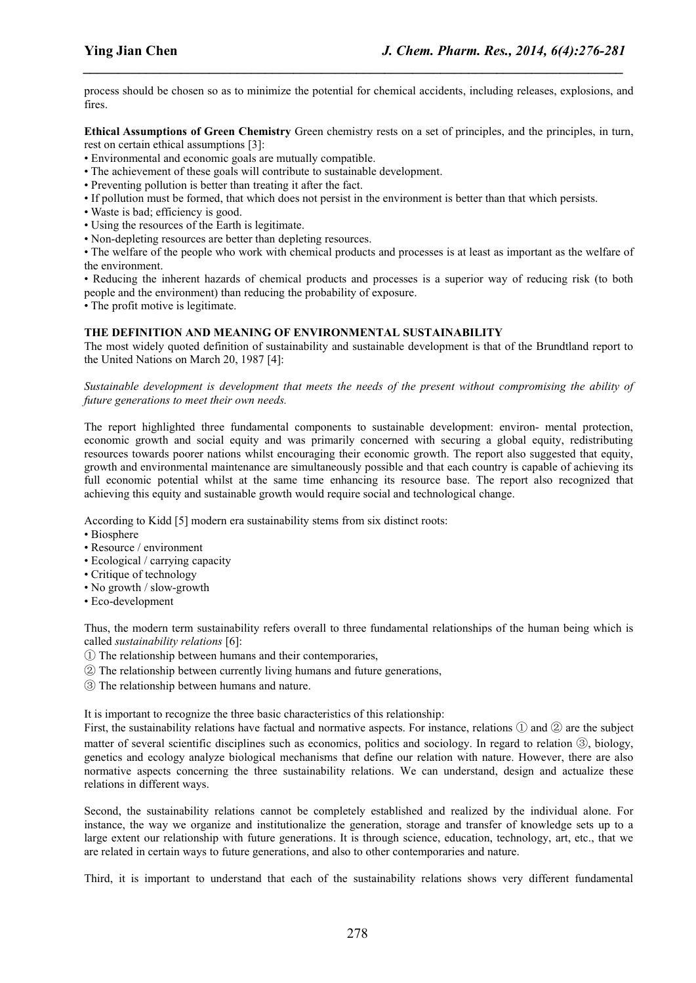process should be chosen so as to minimize the potential for chemical accidents, including releases, explosions, and fires.

*\_\_\_\_\_\_\_\_\_\_\_\_\_\_\_\_\_\_\_\_\_\_\_\_\_\_\_\_\_\_\_\_\_\_\_\_\_\_\_\_\_\_\_\_\_\_\_\_\_\_\_\_\_\_\_\_\_\_\_\_\_\_\_\_\_\_\_\_\_\_\_\_\_\_\_\_\_*

**Ethical Assumptions of Green Chemistry** Green chemistry restson a set of principles, and the principles, in turn, rest on certain ethical assumptions [3]:

- Environmental and economic goals are mutually compatible.
- The achievement of these goals will contribute to sustainable development.
- Preventing pollution is better than treating it after the fact.
- If pollution must be formed, that which doesnot persist in the environment is better than that which persists.
- Waste is bad; efficiency is good.
- Using the resources of the Earth is legitimate.
- Non-depleting resources are better than depleting resources.

• The welfare of the people who work with chemical products and processes is at least as important as the welfare of the environment.

• Reducing the inherent hazards of chemical products and processes is a superior way of reducing risk (to both people and the environment) than reducing the probability of exposure.

• The profit motive is legitimate.

#### **THE DEFINITION AND MEANING OF ENVIRONMENTAL SUSTAINABILITY**

The most widely quoted definition of sustainability and sustainable development is that of the Brundtland report to the United Nations on March 20, 1987 [4]:

*Sustainable development is development that meets the needs of the present without compromising the ability of future generations to meet their own needs.*

The report highlighted three fundamental components to sustainable development: environ- mental protection, economic growth and social equity and was primarily concerned with securing a global equity, redistributing resources towards poorer nations whilst encouraging their economic growth. The report also suggested that equity, growth and environmental maintenance are simultaneously possible and that each country is capable of achieving its full economic potential whilst at the same time enhancing its resource base. The report also recognized that achieving this equity and sustainable growth would require social and technological change.

According to Kidd [5] modern era sustainability stems from six distinct roots:

- Biosphere
- Resource / environment
- Ecological / carrying capacity
- Critique of technology
- No growth / slow-growth
- Eco-development

Thus, the modern term sustainability refers overall to three fundamental relationships of the human being which is called *sustainability relations* [6]:

- ① The relationship between humans and their contemporaries,
- ② The relationship between currently living humans and future generations,
- ③ The relationship between humans and nature.

It is important to recognize the three basic characteristics ofthis relationship:

First, the sustainability relations have factual and normative aspects. For instance, relations  $\Omega$  and  $\Omega$  are the subject matter of several scientific disciplines such as economics, politics and sociology. In regard to relation ③, biology, genetics and ecology analyze biological mechanisms that define our relation with nature. However, there are also normative aspects concerning the three sustainability relations. We can understand, design and actualize these relations in different ways.

Second, the sustainability relations cannot be completely established and realized by the individual alone. For instance, the way we organize and institutionalize the generation, storage and transfer of knowledge sets up to a large extent our relationship with future generations. It is through science, education, technology, art, etc., that we are related in certain ways to future generations, and also to other contemporaries and nature.

Third, it is important to understand that each of the sustainability relations shows very different fundamental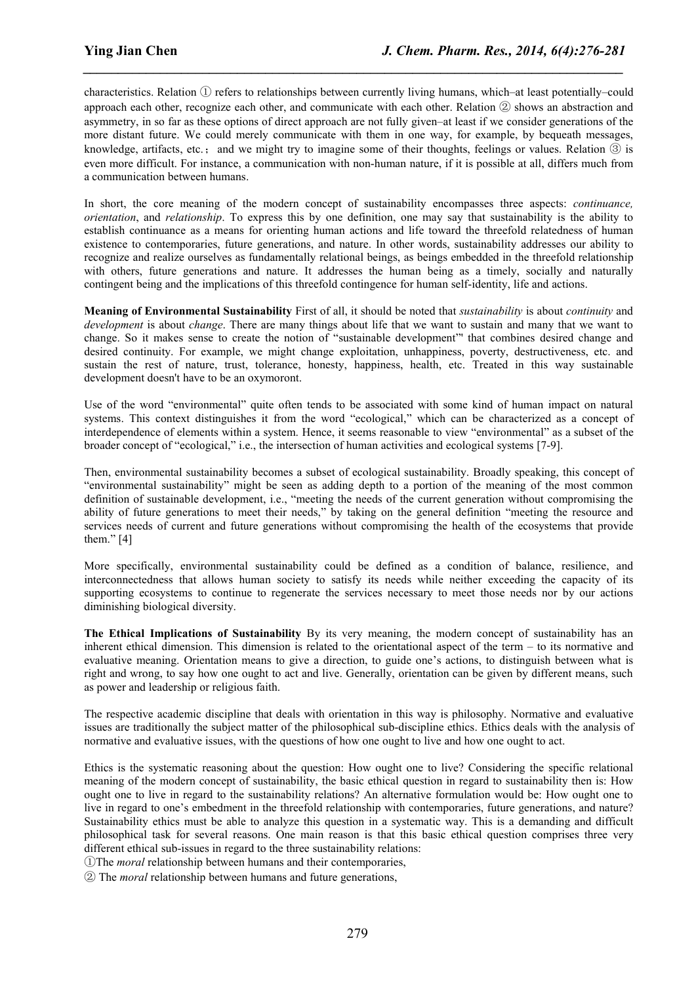characteristics. Relation ① refers to relationships between currently living humans, which–at least potentially–could approach each other, recognize each other, and communicate with each other. Relation  $@$  shows an abstraction and asymmetry, in so far as these options of direct approach are not fully given–at least if we consider generations of the more distant future. We could merely communicate with them in one way, for example, by bequeath messages, knowledge, artifacts, etc.; and we might try to imagine some of their thoughts, feelings or values. Relation  $\circled{3}$  is even more difficult. For instance, a communication with non-human nature, if it is possible at all, differs much from a communication between humans.

*\_\_\_\_\_\_\_\_\_\_\_\_\_\_\_\_\_\_\_\_\_\_\_\_\_\_\_\_\_\_\_\_\_\_\_\_\_\_\_\_\_\_\_\_\_\_\_\_\_\_\_\_\_\_\_\_\_\_\_\_\_\_\_\_\_\_\_\_\_\_\_\_\_\_\_\_\_*

In short, the core meaning of the modern concept of sustainability encompasses three aspects: *continuance, orientation*, and *relationship*. To express this by one definition, one may say that sustainability is the ability to establish continuance as a means for orienting human actions and life toward the threefold relatedness of human existence to contemporaries, future generations, and nature. In other words, sustainability addresses our ability to recognize and realize ourselves as fundamentally relational beings, as beings embedded in the threefold relationship with others, future generations and nature. It addresses the human being as a timely, socially and naturally contingent being and the implications of this threefold contingence for human self-identity, life and actions.

**Meaning of Environmental Sustainability** First of all, it should be noted that *sustainability* is about *continuity* and *development* is about *change*. There are many things about life that we want to sustain and many that we want to change. So it makes sense to create the notion of "sustainable development"' that combines desired change and desired continuity. For example, we might change exploitation, unhappiness, poverty, destructiveness, etc. and sustain the rest of nature, trust, tolerance, honesty, happiness, health, etc. Treated in this way sustainable development doesn't have to be an oxymoront.

Use of the word "environmental" quite often tends to be associated with some kind of human impact on natural systems. This context distinguishes it from the word "ecological," which can be characterized as a concept of interdependence of elements within a system. Hence, it seems reasonable to view "environmental" as a subset of the broader concept of "ecological," i.e., the intersection of human activities and ecological systems [7-9].

Then, environmental sustainability becomes a subset of ecological sustainability. Broadly speaking, this concept of "environmental sustainability" might be seen as adding depth to a portion of the meaning of the most common definition of sustainable development, i.e., "meeting the needs of the current generation without compromising the ability of future generations to meet their needs," by taking on the general definition "meeting the resource and services needs of current and future generations without compromising the health of the ecosystems that provide them." [4]

More specifically, environmental sustainability could be defined as a condition of balance, resilience, and interconnectedness that allows human society to satisfy its needs while neither exceeding the capacity of its supporting ecosystems to continue to regenerate the services necessary to meet those needs nor by our actions diminishing biological diversity.

**The Ethical Implications of Sustainability** By its very meaning, the modern concept of sustainability has an inherent ethical dimension. This dimension is related to the orientational aspect of the term – to its normative and evaluative meaning. Orientation means to give a direction, to guide one's actions, to distinguish between what is right and wrong, to say how one ought to act and live. Generally, orientation can be given by different means, such as power and leadership or religious faith.

The respective academic discipline that deals with orientation in this way is philosophy. Normative and evaluative issues are traditionally the subject matter of the philosophical sub-discipline ethics. Ethics deals with the analysis of normative and evaluative issues, with the questions of how one ought to live and how one ought to act.

Ethics is the systematic reasoning about the question: How ought one to live? Considering the specific relational meaning of the modern concept of sustainability, the basic ethical question in regard to sustainability then is: How ought one to live in regard to the sustainability relations? An alternative formulation would be: How ought one to live in regard to one's embedment in the threefold relationship with contemporaries, future generations, and nature? Sustainability ethics must be able to analyze this question in a systematic way. This is a demanding and difficult philosophical task for several reasons. One main reason is that this basic ethicalquestion comprises three very different ethical sub-issues in regard to the three sustainability relations:

①The *moral* relationship between humans and their contemporaries,

② The *moral* relationship between humans and future generations,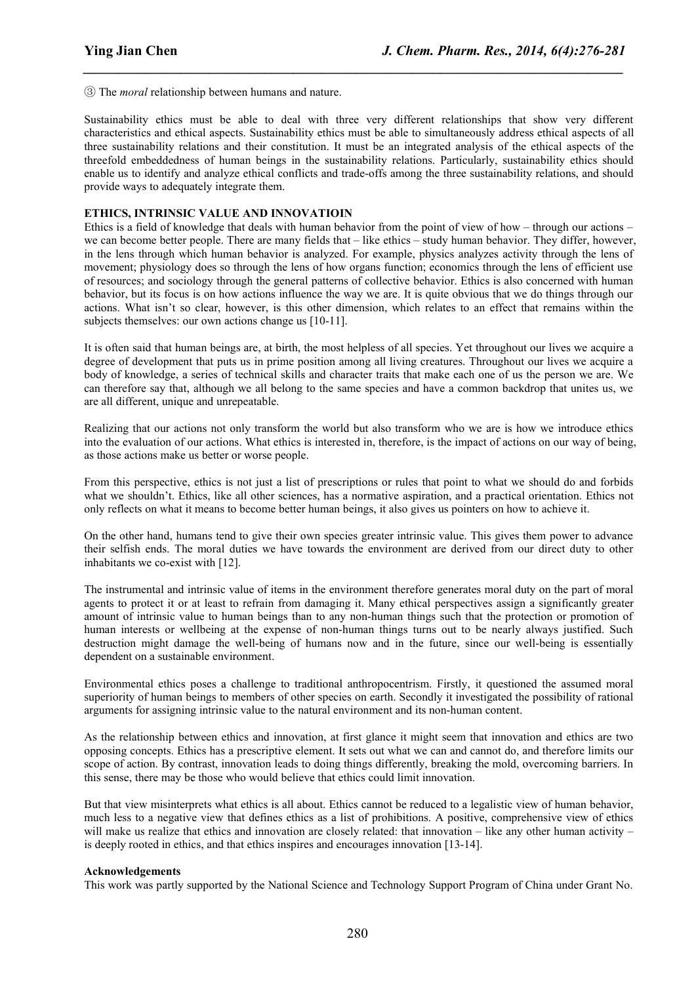③ The *moral* relationship between humans and nature.

Sustainability ethics must be able to deal with three very different relationships that show very different characteristics and ethical aspects. Sustainability ethics must be able to simultaneously address ethical aspects of all three sustainability relations and their constitution. It must be an integrated analysis of the ethical aspects of the threefold embeddedness of human beings in the sustainability relations. Particularly, sustainability ethics should enable us to identify and analyze ethical conflicts and trade-offs among the three sustainability relations, and should provide ways to adequately integrate them.

*\_\_\_\_\_\_\_\_\_\_\_\_\_\_\_\_\_\_\_\_\_\_\_\_\_\_\_\_\_\_\_\_\_\_\_\_\_\_\_\_\_\_\_\_\_\_\_\_\_\_\_\_\_\_\_\_\_\_\_\_\_\_\_\_\_\_\_\_\_\_\_\_\_\_\_\_\_*

#### **ETHICS, INTRINSIC VALUE AND INNOVATIOIN**

Ethics is a field of knowledge that deals with human behavior from the point of view of how – through our actions – we can become better people. There are many fields that – like ethics – study human behavior. They differ, however, in the lens through which human behavior is analyzed. For example, physics analyzes activity through the lens of movement; physiology doesso through the lens of how organs function; economics through the lens ofefficient use of resources; and sociology through the general patterns of collective behavior. Ethics is also concerned with human behavior, but its focus is on how actions influence the way we are. It is quite obvious that we do things through our actions. What isn't so clear, however, is this other dimension, which relates to an effect that remains within the subjects themselves: our own actions change us [10-11].

It is often said that human beings are, at birth, the most helpless of all species. Yet throughout our lives we acquire a degree of development that puts us in prime position among all living creatures. Throughout our lives we acquire a body of knowledge, a series of technical skills and character traits that make each one of us the person we are. We can therefore say that, although we all belong to the same species and have a common backdrop that unites us, we are all different, unique and unrepeatable.

Realizing that our actions not only transform the world but also transform who we are is how we introduce ethics into the evaluation of our actions. What ethics is interested in, therefore, is the impact of actions on our way of being, as those actions make us better or worse people.

From this perspective, ethics is not just a list of prescriptions or rules that point to what we should do and forbids what we shouldn't. Ethics, like all other sciences, has a normative aspiration, and a practical orientation. Ethics not only reflects on what it means to become better human beings, it also gives us pointers on how to achieve it.

On the other hand, humans tend to give their own species greater intrinsic value. This gives them power to advance their selfish ends. The moral duties we have towards the environment are derived from our direct duty to other inhabitants we co-exist with [12].

The instrumental and intrinsic value of items in the environment therefore generates moral duty on the part of moral agents to protect it or atleast to refrain from damaging it. Many ethical perspectives assign a significantly greater amount of intrinsic value to human beings than to any non-human things such that the protection or promotion of human interests or wellbeing at the expense of non-human things turns out to be nearly always justified. Such destruction might damage the well-being of humans now and in the future, since our well-being is essentially dependent on a sustainable environment.

Environmental ethics poses a challenge to traditional anthropocentrism. Firstly, it questioned the assumed moral superiority of human beings to members of other species on earth. Secondly it investigated the possibility of rational arguments for assigning intrinsic value to the natural environment and its non-human content.

As the relationship between ethics and innovation, at first glance it might seem that innovation and ethics are two opposing concepts. Ethics has a prescriptive element.It sets out what we can and cannot do, and therefore limits our scope of action. By contrast, innovation leads to doing things differently, breaking the mold, overcoming barriers. In this sense, there may be those who would believe that ethics could limit innovation.

But that view misinterprets what ethics is all about. Ethics cannot be reduced to a legalistic view of human behavior, much less to a negative view that defines ethics as a list of prohibitions. A positive, comprehensive view of ethics will make us realize that ethics and innovation are closely related: that innovation – like any other human activity – is deeply rooted in ethics, and that ethics inspires and encourages innovation [13-14].

#### **Acknowledgements**

This work was partly supported by the National Science and Technology Support Program of China under Grant No.